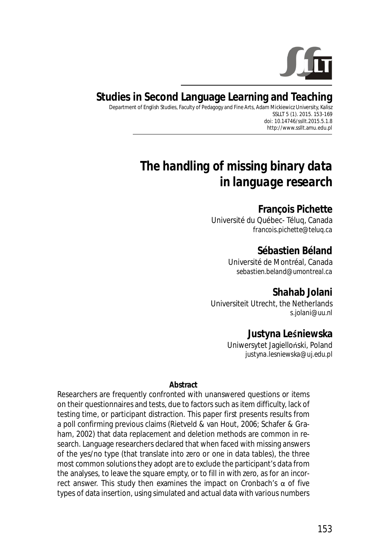

## **Studies in Second Language Learning and Teaching**

Department of English Studies, Faculty of Pedagogy and Fine Arts, Adam Mickiewicz University, Kalisz SSLLT 5 (1). 2015. 153-169 *doi: 10.14746/ssllt.2015.5.1.8* http://www.ssllt.amu.edu.pl

# *The handling of missing binary data in language research*

#### **François Pichette**

Université du Québec- Téluq, Canada *francois.pichette@teluq.ca*

### **Sébastien Béland**

Université de Montréal, Canada *sebastien.beland@umontreal.ca*

**Shahab Jolani** Universiteit Utrecht, the Netherlands *s.jolani@uu.nl*

#### **Justyna Leśniewska**

Uniwersytet Jagielloński, Poland *justyna.lesniewska@uj.edu.pl*

#### **Abstract**

Researchers are frequently confronted with unanswered questions or items on their questionnaires and tests, due to factors such as item difficulty, lack of testing time, or participant distraction. This paper first presents results from a poll confirming previous claims (Rietveld & van Hout, 2006; Schafer & Graham, 2002) that data replacement and deletion methods are common in research. Language researchers declared that when faced with missing answers of the yes/no type (that translate into zero or one in data tables), the three most common solutions they adopt are to exclude the participant's data from the analyses, to leave the square empty, or to fill in with zero, as for an incorrect answer. This study then examines the impact on Cronbach's  $α$  of five types of data insertion, using simulated and actual data with various numbers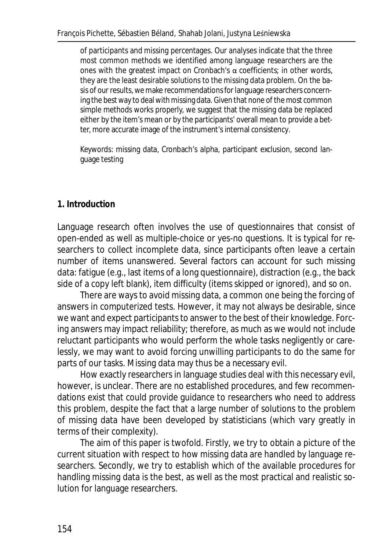of participants and missing percentages. Our analyses indicate that the three most common methods we identified among language researchers are the ones with the greatest impact on Cronbach's α coefficients; in other words, they are the least desirable solutions to the missing data problem. On the basis of our results, we make recommendations for language researchers concerning the best way to deal with missing data. Given that none of the most common simple methods works properly, we suggest that the missing data be replaced either by the item's mean or by the participants' overall mean to provide a better, more accurate image of the instrument's internal consistency.

*Keywords*: missing data, Cronbach's alpha, participant exclusion, second language testing

### **1. Introduction**

Language research often involves the use of questionnaires that consist of open-ended as well as multiple-choice or yes-no questions. It is typical for researchers to collect incomplete data, since participants often leave a certain number of items unanswered. Several factors can account for such missing data: fatigue (e.g., last items of a long questionnaire), distraction (e.g., the back side of a copy left blank), item difficulty (items skipped or ignored), and so on.

There are ways to avoid missing data, a common one being the forcing of answers in computerized tests. However, it may not always be desirable, since we want and expect participants to answer to the best of their knowledge. Forcing answers may impact reliability; therefore, as much as we would not include reluctant participants who would perform the whole tasks negligently or carelessly, we may want to avoid forcing unwilling participants to do the same for parts of our tasks. Missing data may thus be a necessary evil.

How exactly researchers in language studies deal with this necessary evil, however, is unclear. There are no established procedures, and few recommendations exist that could provide guidance to researchers who need to address this problem, despite the fact that a large number of solutions to the problem of missing data have been developed by statisticians (which vary greatly in terms of their complexity).

The aim of this paper is twofold. Firstly, we try to obtain a picture of the current situation with respect to how missing data are handled by language researchers. Secondly, we try to establish which of the available procedures for handling missing data is the best, as well as the most practical and realistic solution for language researchers.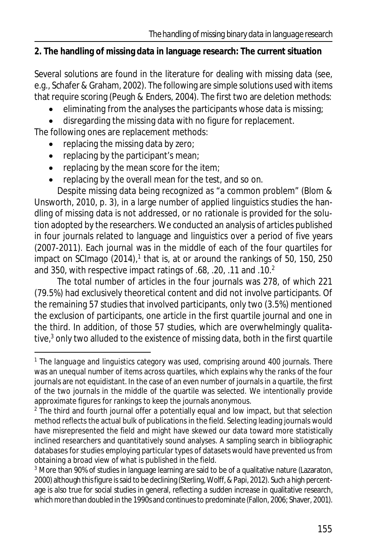### **2. The handling of missing data in language research: The current situation**

Several solutions are found in the literature for dealing with missing data (see, e.g., Schafer & Graham, 2002). The following are simple solutions used with items that require scoring (Peugh & Enders, 2004). The first two are deletion methods:

- eliminating from the analyses the participants whose data is missing;
- · disregarding the missing data with no figure for replacement.

The following ones are replacement methods:

- replacing the missing data by zero;
- replacing by the participant's mean;
- replacing by the mean score for the item;
- replacing by the overall mean for the test, and so on.

Despite missing data being recognized as "a common problem" (Blom & Unsworth, 2010, p. 3), in a large number of applied linguistics studies the handling of missing data is not addressed, or no rationale is provided for the solution adopted by the researchers. We conducted an analysis of articles published in four journals related to language and linguistics over a period of five years (2007-2011). Each journal was in the middle of each of the four quartiles for impact on SCImago (2014),<sup>1</sup> that is, at or around the rankings of 50, 150, 250 and 350, with respective impact ratings of .68, .20, .11 and .10.<sup>2</sup>

The total number of articles in the four journals was 278, of which 221 (79.5%) had exclusively theoretical content and did not involve participants. Of the remaining 57 studies that involved participants, only two (3.5%) mentioned the exclusion of participants, one article in the first quartile journal and one in the third. In addition, of those 57 studies, which are overwhelmingly qualitative,<sup>3</sup> only two alluded to the existence of missing data, both in the first quartile

<sup>&</sup>lt;sup>1</sup> The *language and linguistics* category was used, comprising around 400 journals. There was an unequal number of items across quartiles, which explains why the ranks of the four journals are not equidistant. In the case of an even number of journals in a quartile, the first of the two journals in the middle of the quartile was selected. We intentionally provide approximate figures for rankings to keep the journals anonymous.

<sup>&</sup>lt;sup>2</sup> The third and fourth journal offer a potentially equal and low impact, but that selection method reflects the actual bulk of publications in the field. Selecting leading journals would have misrepresented the field and might have skewed our data toward more statistically inclined researchers and quantitatively sound analyses. A sampling search in bibliographic databases for studies employing particular types of datasets would have prevented us from obtaining a broad view of what is published in the field.

<sup>&</sup>lt;sup>3</sup> More than 90% of studies in language learning are said to be of a qualitative nature (Lazaraton, 2000) although this figure is said to be declining (Sterling, Wolff, & Papi, 2012). Such a high percentage is also true for social studies in general, reflecting a sudden increase in qualitative research, which more than doubled in the 1990s and continues to predominate (Fallon, 2006; Shaver, 2001).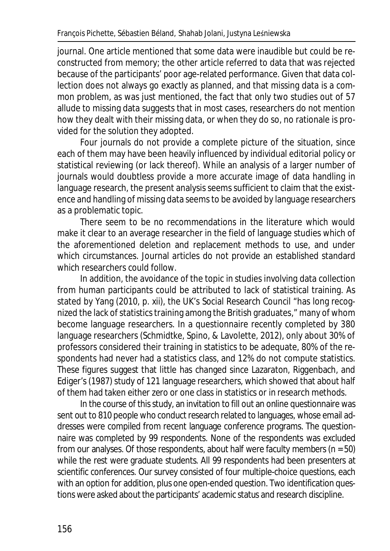journal. One article mentioned that some data were inaudible but could be reconstructed from memory; the other article referred to data that was rejected because of the participants' poor age-related performance. Given that data collection does not always go exactly as planned, and that missing data is a common problem, as was just mentioned, the fact that only two studies out of 57 allude to missing data suggests that in most cases, researchers do not mention how they dealt with their missing data, or when they do so, no rationale is provided for the solution they adopted.

Four journals do not provide a complete picture of the situation, since each of them may have been heavily influenced by individual editorial policy or statistical reviewing (or lack thereof). While an analysis of a larger number of journals would doubtless provide a more accurate image of data handling in language research, the present analysis seems sufficient to claim that the existence and handling of missing data seems to be avoided by language researchers as a problematic topic.

There seem to be no recommendations in the literature which would make it clear to an average researcher in the field of language studies which of the aforementioned deletion and replacement methods to use, and under which circumstances. Journal articles do not provide an established standard which researchers could follow.

In addition, the avoidance of the topic in studies involving data collection from human participants could be attributed to lack of statistical training. As stated by Yang (2010, p. xii), the UK's Social Research Council "has long recognized the lack of statistics training among the British graduates," many of whom become language researchers. In a questionnaire recently completed by 380 language researchers (Schmidtke, Spino, & Lavolette, 2012), only about 30% of professors considered their training in statistics to be adequate, 80% of the respondents had never had a statistics class, and 12% do not compute statistics. These figures suggest that little has changed since Lazaraton, Riggenbach, and Ediger's (1987) study of 121 language researchers, which showed that about half of them had taken either zero or one class in statistics or in research methods.

In the course of this study, an invitation to fill out an online questionnaire was sent out to 810 people who conduct research related to languages, whose email addresses were compiled from recent language conference programs. The questionnaire was completed by 99 respondents. None of the respondents was excluded from our analyses. Of those respondents, about half were faculty members (*n* = 50) while the rest were graduate students. All 99 respondents had been presenters at scientific conferences. Our survey consisted of four multiple-choice questions, each with an option for addition, plus one open-ended question. Two identification questions were asked about the participants' academic status and research discipline.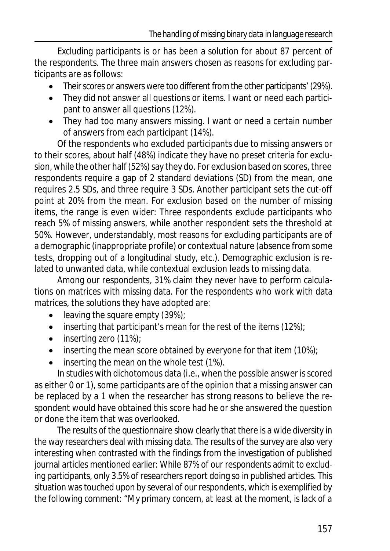Excluding participants is or has been a solution for about 87 percent of the respondents. The three main answers chosen as reasons for excluding participants are as follows:

- · Their scores or answers were too different from the other participants' (29%).
- · They did not answer all questions or items. I want or need each participant to answer all questions (12%).
- · They had too many answers missing. I want or need a certain number of answers from each participant (14%).

Of the respondents who excluded participants due to missing answers or to their scores, about half (48%) indicate they have no preset criteria for exclusion, while the other half (52%) say they do. For exclusion based on scores, three respondents require a gap of 2 standard deviations (*SD*) from the mean, one requires 2.5 *SD*s, and three require 3 *SD*s. Another participant sets the cut-off point at 20% from the mean. For exclusion based on the number of missing items, the range is even wider: Three respondents exclude participants who reach 5% of missing answers, while another respondent sets the threshold at 50%. However, understandably, most reasons for excluding participants are of a demographic (inappropriate profile) or contextual nature (absence from some tests, dropping out of a longitudinal study, etc.). Demographic exclusion is related to unwanted data, while contextual exclusion leads to missing data.

Among our respondents, 31% claim they never have to perform calculations on matrices with missing data. For the respondents who work with data matrices, the solutions they have adopted are:

- leaving the square empty  $(39\%)$ ;
- $\bullet$  inserting that participant's mean for the rest of the items (12%);
- inserting zero (11%);
- inserting the mean score obtained by everyone for that item (10%);
- inserting the mean on the whole test (1%).

In studies with dichotomous data (i.e., when the possible answer is scored as either 0 or 1), some participants are of the opinion that a missing answer can be replaced by a 1 when the researcher has strong reasons to believe the respondent would have obtained this score had he or she answered the question or done the item that was overlooked.

The results of the questionnaire show clearly that there is a wide diversity in the way researchers deal with missing data. The results of the survey are also very interesting when contrasted with the findings from the investigation of published journal articles mentioned earlier: While 87% of our respondents admit to excluding participants, only 3.5% of researchers report doing so in published articles. This situation was touched upon by several of our respondents, which is exemplified by the following comment: "*My primary concern, at least at the moment, is lack of a*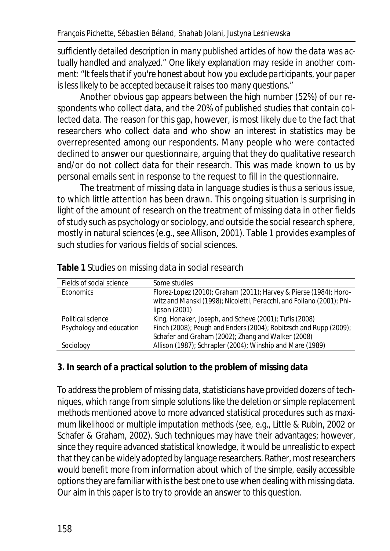*sufficiently detailed description in many published articles of how the data was actually handled and analyzed*." One likely explanation may reside in another comment: "*It feels that if you're honest about how you exclude participants, your paper is less likely to be accepted because it raises too many questions*."

Another obvious gap appears between the high number (52%) of our respondents who collect data, and the 20% of published studies that contain collected data. The reason for this gap, however, is most likely due to the fact that researchers who collect data and who show an interest in statistics may be overrepresented among our respondents. Many people who were contacted declined to answer our questionnaire, arguing that they do qualitative research and/or do not collect data for their research. This was made known to us by personal emails sent in response to the request to fill in the questionnaire.

The treatment of missing data in language studies is thus a serious issue, to which little attention has been drawn. This ongoing situation is surprising in light of the amount of research on the treatment of missing data in other fields of study such as psychology or sociology, and outside the social research sphere, mostly in natural sciences (e.g., see Allison, 2001). Table 1 provides examples of such studies for various fields of social sciences.

| Fields of social science | Some studies                                                                                                                                                |
|--------------------------|-------------------------------------------------------------------------------------------------------------------------------------------------------------|
| Economics                | Florez-Lopez (2010); Graham (2011); Harvey & Pierse (1984); Horo-<br>witz and Manski (1998); Nicoletti, Peracchi, and Foliano (2001); Phi-<br>lipson (2001) |
| Political science        | King, Honaker, Joseph, and Scheve (2001); Tufis (2008)                                                                                                      |
| Psychology and education | Finch (2008); Peugh and Enders (2004); Robitzsch and Rupp (2009);<br>Schafer and Graham (2002); Zhang and Walker (2008)                                     |
| Sociology                | Allison (1987); Schrapler (2004); Winship and Mare (1989)                                                                                                   |
|                          |                                                                                                                                                             |

**Table 1** Studies on missing data in social research

## **3. In search of a practical solution to the problem of missing data**

To address the problem of missing data, statisticians have provided dozens of techniques, which range from simple solutions like the deletion or simple replacement methods mentioned above to more advanced statistical procedures such as maximum likelihood or multiple imputation methods (see, e.g., Little & Rubin, 2002 or Schafer & Graham, 2002). Such techniques may have their advantages; however, since they require advanced statistical knowledge, it would be unrealistic to expect that they can be widely adopted by language researchers. Rather, most researchers would benefit more from information about which of the simple, easily accessible options they are familiar with is the best one to use when dealing with missing data. Our aim in this paper is to try to provide an answer to this question.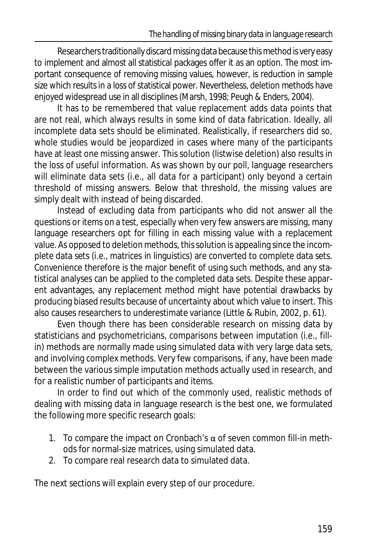Researchers traditionally discard missing data because this method is very easy to implement and almost all statistical packages offer it as an option. The most important consequence of removing missing values, however, is reduction in sample size which results in a loss of statistical power. Nevertheless, deletion methods have enjoyed widespread use in all disciplines (Marsh, 1998; Peugh & Enders, 2004).

It has to be remembered that value replacement adds data points that are not real, which always results in some kind of data fabrication. Ideally, all incomplete data sets should be eliminated. Realistically, if researchers did so, whole studies would be jeopardized in cases where many of the participants have at least one missing answer. This solution (listwise deletion) also results in the loss of useful information. As was shown by our poll, language researchers will eliminate data sets (i.e., all data for a participant) only beyond a certain threshold of missing answers. Below that threshold, the missing values are simply dealt with instead of being discarded.

Instead of excluding data from participants who did not answer all the questions or items on a test, especially when very few answers are missing, many language researchers opt for filling in each missing value with a replacement value. As opposed to deletion methods, this solution is appealing since the incomplete data sets (i.e., matrices in linguistics) are converted to complete data sets. Convenience therefore is the major benefit of using such methods, and any statistical analyses can be applied to the completed data sets. Despite these apparent advantages, any replacement method might have potential drawbacks by producing biased results because of uncertainty about which value to insert. This also causes researchers to underestimate variance (Little & Rubin, 2002, p. 61).

Even though there has been considerable research on missing data by statisticians and psychometricians, comparisons between imputation (i.e., fillin) methods are normally made using simulated data with very large data sets, and involving complex methods. Very few comparisons, if any, have been made between the various simple imputation methods actually used in research, and for a realistic number of participants and items.

In order to find out which of the commonly used, realistic methods of dealing with missing data in language research is the best one, we formulated the following more specific research goals:

- 1. To compare the impact on Cronbach's  $\alpha$  of seven common fill-in methods for normal-size matrices, using simulated data.
- 2. To compare real research data to simulated data.

The next sections will explain every step of our procedure.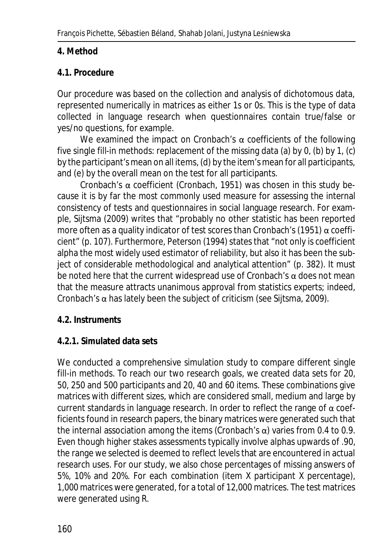#### **4. Method**

#### **4.1. Procedure**

Our procedure was based on the collection and analysis of dichotomous data, represented numerically in matrices as either 1s or 0s. This is the type of data collected in language research when questionnaires contain true/false or yes/no questions, for example.

We examined the impact on Cronbach's  $\alpha$  coefficients of the following five single fill-in methods: replacement of the missing data (a) by 0, (b) by 1, (c) by the participant's mean on all items, (d) by the item's mean for all participants, and (e) by the overall mean on the test for all participants.

Cronbach's α coefficient (Cronbach, 1951) was chosen in this study because it is by far the most commonly used measure for assessing the internal consistency of tests and questionnaires in social language research. For example, Sijtsma (2009) writes that "probably no other statistic has been reported more often as a quality indicator of test scores than Cronbach's (1951)  $\alpha$  coefficient" (p. 107). Furthermore, Peterson (1994) states that "not only is coefficient alpha the most widely used estimator of reliability, but also it has been the subject of considerable methodological and analytical attention" (p. 382). It must be noted here that the current widespread use of Cronbach's  $\alpha$  does not mean that the measure attracts unanimous approval from statistics experts; indeed, Cronbach's  $\alpha$  has lately been the subject of criticism (see Sijtsma, 2009).

#### **4.2. Instruments**

#### **4.2.1. Simulated data sets**

We conducted a comprehensive simulation study to compare different single fill-in methods. To reach our two research goals, we created data sets for 20, 50, 250 and 500 participants and 20, 40 and 60 items. These combinations give matrices with different sizes, which are considered small, medium and large by current standards in language research. In order to reflect the range of α coefficients found in research papers, the binary matrices were generated such that the internal association among the items (Cronbach's α) varies from 0.4 to 0.9. Even though higher stakes assessments typically involve alphas upwards of .90, the range we selected is deemed to reflect levels that are encountered in actual research uses. For our study, we also chose percentages of missing answers of 5%, 10% and 20%. For each combination (item X participant X percentage), 1,000 matrices were generated, for a total of 12,000 matrices. The test matrices were generated using R.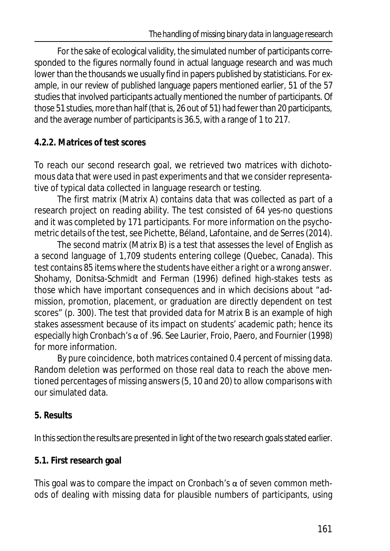For the sake of ecological validity, the simulated number of participants corresponded to the figures normally found in actual language research and was much lower than the thousands we usually find in papers published by statisticians. For example, in our review of published language papers mentioned earlier, 51 of the 57 studies that involved participants actually mentioned the number of participants. Of those 51 studies, more than half (that is, 26 out of 51) had fewer than 20 participants, and the average number of participants is 36.5, with a range of 1 to 217.

## **4.2.2. Matrices of test scores**

To reach our second research goal, we retrieved two matrices with dichotomous data that were used in past experiments and that we consider representative of typical data collected in language research or testing.

The first matrix (Matrix A) contains data that was collected as part of a research project on reading ability. The test consisted of 64 yes-no questions and it was completed by 171 participants. For more information on the psychometric details of the test, see Pichette, Béland, Lafontaine, and de Serres (2014).

The second matrix (Matrix B) is a test that assesses the level of English as a second language of 1,709 students entering college (Quebec, Canada). This test contains 85 items where the students have either a right or a wrong answer. Shohamy, Donitsa-Schmidt and Ferman (1996) defined high-stakes tests as those which have important consequences and in which decisions about "admission, promotion, placement, or graduation are directly dependent on test scores" (p. 300). The test that provided data for Matrix B is an example of high stakes assessment because of its impact on students' academic path; hence its especially high Cronbach's α of .96. See Laurier, Froio, Paero, and Fournier (1998) for more information.

By pure coincidence, both matrices contained 0.4 percent of missing data. Random deletion was performed on those real data to reach the above mentioned percentages of missing answers (5, 10 and 20) to allow comparisons with our simulated data.

## **5. Results**

In this section the results are presented in light of the two research goals stated earlier.

## **5.1. First research goal**

This goal was to compare the impact on Cronbach's  $\alpha$  of seven common methods of dealing with missing data for plausible numbers of participants, using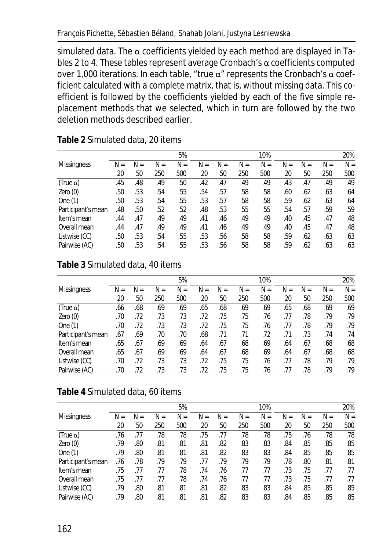simulated data. The  $\alpha$  coefficients yielded by each method are displayed in Tables 2 to 4. These tables represent average Cronbach's  $\alpha$  coefficients computed over 1,000 iterations. In each table, "true  $α$ " represents the Cronbach's  $α$  coefficient calculated with a complete matrix, that is, without missing data. This coefficient is followed by the coefficients yielded by each of the five simple replacement methods that we selected, which in turn are followed by the two deletion methods described earlier.

|                    |       |     |       | 5%    |       |       |       | 10% |       |     |       | 20%   |
|--------------------|-------|-----|-------|-------|-------|-------|-------|-----|-------|-----|-------|-------|
| <b>Missinaness</b> | $N =$ | N=  | $N =$ | $N =$ | $N =$ | $N =$ | $N =$ | N=  | $N =$ | N=  | $N =$ | $N =$ |
|                    | 20    | 50  | 250   | 500   | 20    | 50    | 250   | 500 | 20    | 50  | 250   | 500   |
| $(True \alpha)$    | .45   | .48 | .49   | .50   | .42   | .47   | .49   | .49 | .43   | .47 | .49   | .49   |
| Zero(0)            | .50   | .53 | .54   | .55   | .54   | .57   | .58   | .58 | .60   | .62 | .63   | .64   |
| One $(1)$          | .50   | .53 | .54   | .55   | .53   | .57   | .58   | .58 | .59   | .62 | .63   | .64   |
| Participant's mean | .48   | .50 | .52   | .52   | .48   | .53   | .55   | .55 | .54   | .57 | .59   | .59   |
| Item's mean        | .44   | .47 | .49   | .49   | .41   | .46   | .49   | .49 | .40   | .45 | .47   | .48   |
| Overall mean       | .44   | .47 | .49   | .49   | .41   | .46   | .49   | .49 | .40   | .45 | .47   | .48   |
| Listwise (CC)      | .50   | .53 | .54   | .55   | .53   | .56   | .58   | .58 | .59   | .62 | .63   | .63   |
| Pairwise (AC)      | .50   | .53 | .54   | .55   | .53   | .56   | .58   | .58 | .59   | .62 | .63   | .63   |

**Table 2** Simulated data, 20 items

#### **Table 3** Simulated data, 40 items

|                    |     |       |     | 5%    |     |     |       | 10%   |       |       |     | 20%   |
|--------------------|-----|-------|-----|-------|-----|-----|-------|-------|-------|-------|-----|-------|
| <b>Missingness</b> | N=  | $N =$ | N=  | $N =$ | N=  | N=  | $N =$ | $N =$ | $N =$ | $N =$ | N=  | $N =$ |
|                    | 20  | 50    | 250 | 500   | 20  | 50  | 250   | 500   | 20    | 50    | 250 | 500   |
| $(True \alpha)$    | .66 | .68   | .69 | .69   | .65 | .68 | .69   | .69   | .65   | .68   | .69 | .69   |
| Zero(0)            | .70 | .72   | .73 | .73   | .72 | .75 | .75   | .76   | .77   | .78   | .79 | .79   |
| One $(1)$          | .70 | .72   | .73 | .73   | .72 | .75 | .75   | .76   | .77   | .78   | .79 | .79   |
| Participant's mean | .67 | .69   | .70 | .70   | .68 | .71 | .71   | .72   | .71   | .73   | .74 | .74   |
| Item's mean        | .65 | .67   | .69 | .69   | .64 | .67 | .68   | .69   | .64   | .67   | .68 | .68   |
| Overall mean       | .65 | .67   | .69 | .69   | .64 | .67 | .68   | .69   | .64   | .67   | .68 | .68   |
| Listwise (CC)      | .70 | .72   | .73 | .73   | .72 | .75 | .75   | .76   | .77   | .78   | .79 | .79   |
| Pairwise (AC)      | .70 | .72   | .73 | .73   | .72 | .75 | .75   | .76   | .77   | .78   | .79 | .79   |

#### **Table 4** Simulated data, 60 items

|                    |     |     |     | 5%    |     |     |     | 10%   |       |     |     | 20%   |
|--------------------|-----|-----|-----|-------|-----|-----|-----|-------|-------|-----|-----|-------|
| <b>Missingness</b> | N=  | N=  | N=  | $N =$ | N=  | N=  | N=  | $N =$ | $N =$ | N=  | N=  | $N =$ |
|                    | 20  | 50  | 250 | 500   | 20  | 50  | 250 | 500   | 20    | 50  | 250 | 500   |
| $(True \alpha)$    | .76 | .77 | .78 | .78   | .75 | .77 | .78 | .78   | .75   | .76 | .78 | .78   |
| Zero(0)            | .79 | .80 | .81 | .81   | .81 | .82 | .83 | .83   | .84   | .85 | .85 | .85   |
| One $(1)$          | .79 | .80 | .81 | .81   | .81 | .82 | .83 | .83   | .84   | .85 | .85 | .85   |
| Participant's mean | .76 | .78 | .79 | .79   | .77 | .79 | .79 | .79   | .78   | .80 | .81 | .81   |
| Item's mean        | .75 | .77 | .77 | .78   | .74 | .76 | .77 | .77   | .73   | .75 | .77 | .77   |
| Overall mean       | .75 | .77 | .77 | .78   | .74 | .76 | .77 | .77   | .73   | .75 | .77 | .77   |
| Listwise (CC)      | .79 | .80 | .81 | .81   | .81 | .82 | .83 | .83   | .84   | .85 | .85 | .85   |
| Pairwise (AC)      | .79 | .80 | .81 | .81   | .81 | .82 | .83 | .83   | .84   | .85 | .85 | .85   |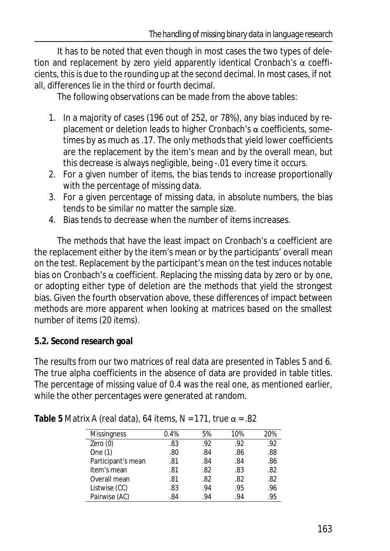It has to be noted that even though in most cases the two types of deletion and replacement by zero yield apparently identical Cronbach's  $\alpha$  coefficients, this is due to the rounding up at the second decimal. In most cases, if not all, differences lie in the third or fourth decimal.

The following observations can be made from the above tables:

- 1. In a majority of cases (196 out of 252, or 78%), any bias induced by replacement or deletion leads to higher Cronbach's  $\alpha$  coefficients, sometimes by as much as .17. The only methods that yield lower coefficients are the replacement by the item's mean and by the overall mean, but this decrease is always negligible, being -.01 every time it occurs.
- 2. For a given number of items, the bias tends to increase proportionally with the percentage of missing data.
- 3. For a given percentage of missing data, in absolute numbers, the bias tends to be similar no matter the sample size.
- 4. Bias tends to decrease when the number of items increases.

The methods that have the least impact on Cronbach's  $\alpha$  coefficient are the replacement either by the item's mean or by the participants' overall mean on the test. Replacement by the participant's mean on the test induces notable bias on Cronbach's  $\alpha$  coefficient. Replacing the missing data by zero or by one, or adopting either type of deletion are the methods that yield the strongest bias. Given the fourth observation above, these differences of impact between methods are more apparent when looking at matrices based on the smallest number of items (20 items).

## **5.2. Second research goal**

The results from our two matrices of real data are presented in Tables 5 and 6. The true alpha coefficients in the absence of data are provided in table titles. The percentage of missing value of 0.4 was the real one, as mentioned earlier, while the other percentages were generated at random.

| <b>Missingness</b> | 0.4% | 5%  | 10% | 20% |
|--------------------|------|-----|-----|-----|
| Zero $(0)$         | .83  | .92 | .92 | .92 |
| One (1)            | .80  | .84 | .86 | .88 |
| Participant's mean | .81  | .84 | .84 | .86 |
| Item's mean        | .81  | .82 | .83 | .82 |
| Overall mean       | .81  | .82 | .82 | .82 |
| Listwise (CC)      | .83  | .94 | .95 | .96 |
| Pairwise (AC)      | .84  | .94 | .94 | .95 |

**Table 5** Matrix A (real data), 64 items, *N* = 171, true α = .82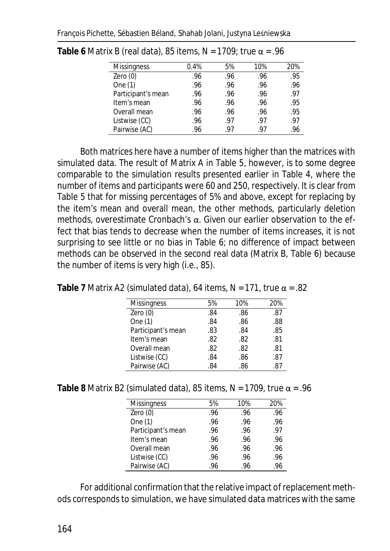| <b>Missingness</b> | 0.4% | 5%  | 10% | 20% |
|--------------------|------|-----|-----|-----|
| Zero $(0)$         | .96  | .96 | .96 | .95 |
| One (1)            | .96  | .96 | .96 | .96 |
| Participant's mean | .96  | .96 | .96 | .97 |
| Item's mean        | .96  | .96 | .96 | .95 |
| Overall mean       | .96  | .96 | .96 | .95 |
| Listwise (CC)      | .96  | .97 | .97 | .97 |
| Pairwise (AC)      | .96  | .97 | -97 |     |

**Table 6** Matrix B (real data), 85 items, *N* = 1709; true α = .96

Both matrices here have a number of items higher than the matrices with simulated data. The result of Matrix A in Table 5, however, is to some degree comparable to the simulation results presented earlier in Table 4, where the number of items and participants were 60 and 250, respectively. It is clear from Table 5 that for missing percentages of 5% and above, except for replacing by the item's mean and overall mean, the other methods, particularly deletion methods, overestimate Cronbach's α. Given our earlier observation to the effect that bias tends to decrease when the number of items increases, it is not surprising to see little or no bias in Table 6; no difference of impact between methods can be observed in the second real data (Matrix B, Table 6) because the number of items is very high (i.e., 85).

**Table 7** Matrix A2 (simulated data), 64 items, *N* = 171, true α = .82

| <b>Missingness</b> | 5%  | 10% | 20% |
|--------------------|-----|-----|-----|
| Zero $(0)$         | .84 | .86 | .87 |
| One (1)            | .84 | .86 | .88 |
| Participant's mean | .83 | .84 | .85 |
| Item's mean        | .82 | .82 | .81 |
| Overall mean       | .82 | .82 | .81 |
| Listwise (CC)      | .84 | .86 | .87 |
| Pairwise (AC)      | .84 | .86 | .87 |

**Table 8** Matrix B2 (simulated data), 85 items, *N* = 1709, true α = .96

| <b>Missingness</b> | 5%  | 10% | 20% |
|--------------------|-----|-----|-----|
| Zero $(0)$         | .96 | .96 | .96 |
| One (1)            | .96 | .96 | .96 |
| Participant's mean | .96 | .96 | .97 |
| Item's mean        | .96 | .96 | .96 |
| Overall mean       | .96 | .96 | .96 |
| Listwise (CC)      | .96 | .96 | .96 |
| Pairwise (AC)      | .96 | .96 | .96 |

For additional confirmation that the relative impact of replacement methods corresponds to simulation, we have simulated data matrices with the same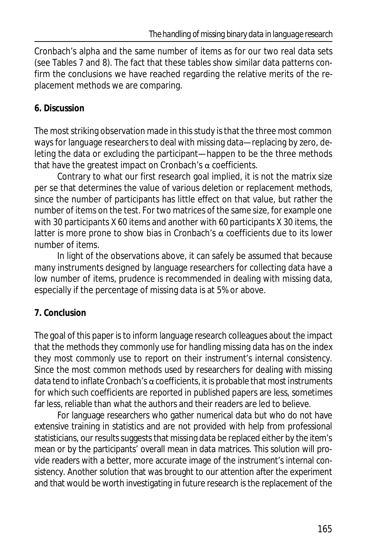Cronbach's alpha and the same number of items as for our two real data sets (see Tables 7 and 8). The fact that these tables show similar data patterns confirm the conclusions we have reached regarding the relative merits of the replacement methods we are comparing.

### **6. Discussion**

The most striking observation made in this study is that the three most common ways for language researchers to deal with missing data—replacing by zero, deleting the data or excluding the participant—happen to be the three methods that have the greatest impact on Cronbach's  $\alpha$  coefficients.

Contrary to what our first research goal implied, it is not the matrix size per se that determines the value of various deletion or replacement methods, since the number of participants has little effect on that value, but rather the number of items on the test. For two matrices of the same size, for example one with 30 participants X 60 items and another with 60 participants X 30 items, the latter is more prone to show bias in Cronbach's  $\alpha$  coefficients due to its lower number of items.

In light of the observations above, it can safely be assumed that because many instruments designed by language researchers for collecting data have a low number of items, prudence is recommended in dealing with missing data, especially if the percentage of missing data is at 5% or above.

## **7. Conclusion**

The goal of this paper is to inform language research colleagues about the impact that the methods they commonly use for handling missing data has on the index they most commonly use to report on their instrument's internal consistency. Since the most common methods used by researchers for dealing with missing data tend to inflate Cronbach's  $\alpha$  coefficients, it is probable that most instruments for which such coefficients are reported in published papers are less, sometimes far less, reliable than what the authors and their readers are led to believe.

For language researchers who gather numerical data but who do not have extensive training in statistics and are not provided with help from professional statisticians, our results suggests that missing data be replaced either by the item's mean or by the participants' overall mean in data matrices. This solution will provide readers with a better, more accurate image of the instrument's internal consistency. Another solution that was brought to our attention after the experiment and that would be worth investigating in future research is the replacement of the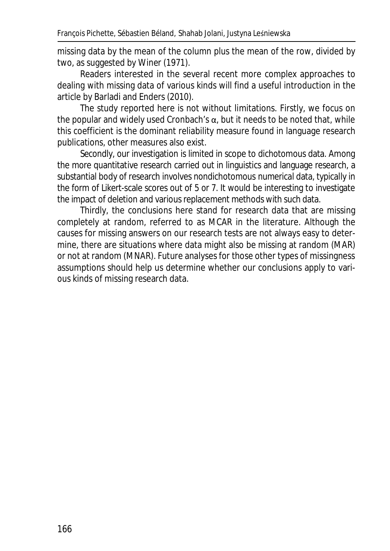missing data by the mean of the column plus the mean of the row, divided by two, as suggested by Winer (1971).

Readers interested in the several recent more complex approaches to dealing with missing data of various kinds will find a useful introduction in the article by Barladi and Enders (2010).

The study reported here is not without limitations. Firstly, we focus on the popular and widely used Cronbach's  $\alpha$ , but it needs to be noted that, while this coefficient is the dominant reliability measure found in language research publications, other measures also exist.

Secondly, our investigation is limited in scope to dichotomous data. Among the more quantitative research carried out in linguistics and language research, a substantial body of research involves nondichotomous numerical data, typically in the form of Likert-scale scores out of 5 or 7. It would be interesting to investigate the impact of deletion and various replacement methods with such data.

Thirdly, the conclusions here stand for research data that are missing completely at random, referred to as MCAR in the literature. Although the causes for missing answers on our research tests are not always easy to determine, there are situations where data might also be missing at random (MAR) or not at random (MNAR). Future analyses for those other types of missingness assumptions should help us determine whether our conclusions apply to various kinds of missing research data.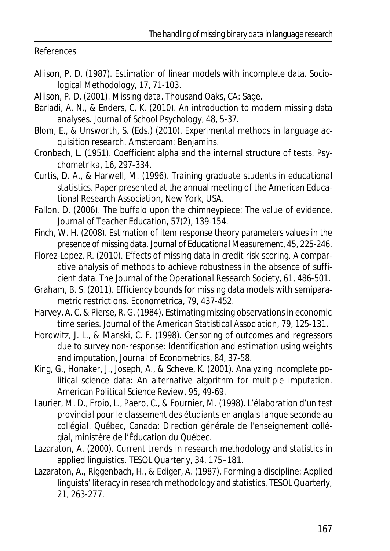References

- Allison, P. D. (1987). Estimation of linear models with incomplete data. *Sociological Methodology*, *17*, 71-103.
- Allison, P. D. (2001). *Missing data*. Thousand Oaks, CA: Sage.
- Barladi, A. N., & Enders, C. K. (2010). An introduction to modern missing data analyses. *Journal of School Psychology, 48*, 5-37.
- Blom, E., & Unsworth, S. (Eds.) (2010). *Experimental methods in language acquisition research*. Amsterdam: Benjamins.
- Cronbach, L. (1951). Coefficient alpha and the internal structure of tests. *Psychometrika, 16*, 297-334.
- Curtis, D. A., & Harwell, M. (1996). *Training graduate students in educational statistics*. Paper presented at the annual meeting of the American Educational Research Association, New York, USA.
- Fallon, D. (2006). The buffalo upon the chimneypiece: The value of evidence. *Journal of Teacher Education, 57*(2), 139-154.
- Finch, W. H. (2008). Estimation of item response theory parameters values in the presence of missing data. *Journal of Educational Measurement*, *45*, 225-246.
- Florez-Lopez, R. (2010). Effects of missing data in credit risk scoring. A comparative analysis of methods to achieve robustness in the absence of sufficient data. *The Journal of the Operational Research Society*, *61*, 486-501.
- Graham, B. S. (2011). Efficiency bounds for missing data models with semiparametric restrictions. *Econometrica*, *79*, 437-452.
- Harvey, A. C. & Pierse, R. G. (1984). Estimating missing observations in economic time series. *Journal of the American Statistical Association, 79*, 125-131.
- Horowitz, J. L., & Manski, C. F. (1998). Censoring of outcomes and regressors due to survey non-response: Identification and estimation using weights and imputation, *Journal of Econometrics, 84*, 37-58.
- King, G., Honaker, J., Joseph, A., & Scheve, K. (2001). Analyzing incomplete political science data: An alternative algorithm for multiple imputation. *American Political Science Review, 95*, 49-69.
- Laurier, M. D., Froio, L., Paero, C., & Fournier, M. (1998). *L'élaboration d'un test provincial pour le classement des étudiants en anglais langue seconde au collégial*. Québec, Canada: Direction générale de l'enseignement collégial, ministère de l'Éducation du Québec.
- Lazaraton, A. (2000). Current trends in research methodology and statistics in applied linguistics. *TESOL Quarter*ly, *34*, 175–181.
- Lazaraton, A., Riggenbach, H., & Ediger, A. (1987). Forming a discipline: Applied linguists' literacy in research methodology and statistics. *TESOL Quarterly, 21*, 263-277.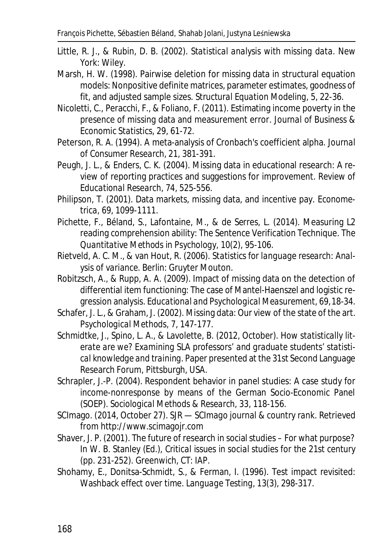- Little, R. J., & Rubin, D. B. (2002). *Statistical analysis with missing data*. New York: Wiley.
- Marsh, H. W. (1998). Pairwise deletion for missing data in structural equation models: Nonpositive definite matrices, parameter estimates, goodness of fit, and adjusted sample sizes. *Structural Equation Modeling, 5*, 22-36.
- Nicoletti, C., Peracchi, F., & Foliano, F. (2011). Estimating income poverty in the presence of missing data and measurement error. *Journal of Business & Economic Statistics*, *29*, 61-72.
- Peterson, R. A. (1994). A meta-analysis of Cronbach's coefficient alpha. *Journal of Consumer Research, 21*, 381-391.
- Peugh, J. L., & Enders, C. K. (2004). Missing data in educational research: A review of reporting practices and suggestions for improvement. *Review of Educational Research, 74,* 525-556.
- Philipson, T. (2001). Data markets, missing data, and incentive pay. *Econometrica, 69*, 1099-1111.
- Pichette, F., Béland, S., Lafontaine, M., & de Serres, L. (2014). Measuring L2 reading comprehension ability: The Sentence Verification Technique. *The Quantitative Methods in Psychology, 10*(2), 95-106.
- Rietveld, A. C. M., & van Hout, R. (2006). *Statistics for language research: Analysis of variance*. Berlin: Gruyter Mouton.
- Robitzsch, A., & Rupp, A. A. (2009). Impact of missing data on the detection of differential item functioning: The case of Mantel-Haenszel and logistic regression analysis. *Educational and Psychological Measurement*, *69*, 18-34.
- Schafer, J. L., & Graham, J. (2002). Missing data: Our view of the state of the art. *Psychological Methods*, *7*, 147-177.
- Schmidtke, J., Spino, L. A., & Lavolette, B. (2012, October). *How statistically literate are we? Examining SLA professors' and graduate students' statistical knowledge and training*. Paper presented at the 31st Second Language Research Forum, Pittsburgh, USA.
- Schrapler, J.-P. (2004). Respondent behavior in panel studies: A case study for income-nonresponse by means of the German Socio-Economic Panel (SOEP). *Sociological Methods & Research, 33*, 118-156.
- SCImago. (2014, October 27). *SJR SCImago journal & country rank*. Retrieved from http://www.scimagojr.com
- Shaver, J. P. (2001). The future of research in social studies For what purpose? In W. B. Stanley (Ed.), *Critical issues in social studies for the 21st century* (pp. 231-252). Greenwich, CT: IAP.
- Shohamy, E., Donitsa-Schmidt, S., & Ferman, I. (1996). Test impact revisited: Washback effect over time. *Language Testing, 13*(3), 298-317.